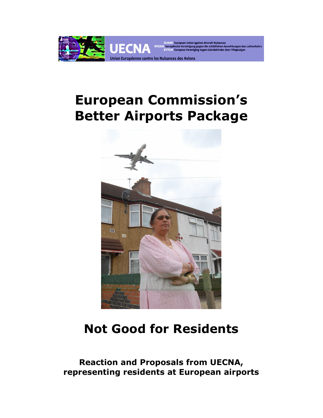

# **European Commission's Better Airports Package**



# **Not Good for Residents**

**Reaction and Proposals from UECNA, representing residents at European airports**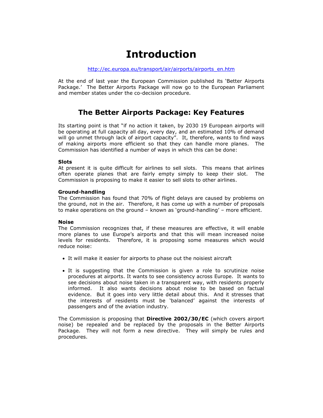## **Introduction**

#### http://ec.europa.eu/transport/air/airports/airports\_en.htm

At the end of last year the European Commission published its 'Better Airports Package.' The Better Airports Package will now go to the European Parliament and member states under the co-decision procedure.

### **The Better Airports Package: Key Features**

Its starting point is that "if no action it taken, by 2030 19 European airports will be operating at full capacity all day, every day, and an estimated 10% of demand will go unmet through lack of airport capacity". It, therefore, wants to find ways of making airports more efficient so that they can handle more planes. The Commission has identified a number of ways in which this can be done:

#### **Slots**

At present it is quite difficult for airlines to sell slots. This means that airlines often operate planes that are fairly empty simply to keep their slot. The Commission is proposing to make it easier to sell slots to other airlines.

#### **Ground-handling**

The Commission has found that 70% of flight delays are caused by problems on the ground, not in the air. Therefore, it has come up with a number of proposals to make operations on the ground – known as 'ground-handling' – more efficient.

#### **Noise**

The Commission recognizes that, if these measures are effective, it will enable more planes to use Europe's airports and that this will mean increased noise levels for residents. Therefore, it is proposing some measures which would reduce noise:

- It will make it easier for airports to phase out the noisiest aircraft
- It is suggesting that the Commission is given a role to scrutinize noise procedures at airports. It wants to see consistency across Europe. It wants to see decisions about noise taken in a transparent way, with residents properly informed. It also wants decisions about noise to be based on factual evidence. But it goes into very little detail about this. And it stresses that the interests of residents must be 'balanced' against the interests of passengers and of the aviation industry.

The Commission is proposing that **Directive 2002/30/EC** (which covers airport noise) be repealed and be replaced by the proposals in the Better Airports Package. They will not form a new directive. They will simply be rules and procedures.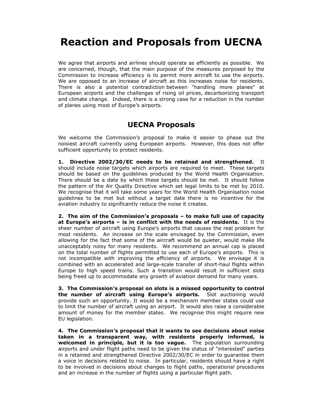## **Reaction and Proposals from UECNA**

We agree that airports and airlines should operate as efficiently as possible. We are concerned, though, that the main purpose of the measures porposed by the Commission to increase efficiency is to permit more aircraft to use the airports. We are opposed to an increase of aircraft as this increases noise for residents. There is also a potential contradiction between "handling more planes" at European airports and the challenges of rising oil prices, decarbonizing transport and climate change. Indeed, there is a strong case for a reduction in the number of planes using most of Europe's airports.

### **UECNA Proposals**

We welcome the Commission's proposal to make it easier to phase out the noisiest aircraft currently using European airports. However, this does not offer sufficient opportunity to protect residents.

**1. Directive 2002/30/EC needs to be retained and strengthened.** It should include noise targets which airports are required to meet. These targets should be based on the guidelines produced by the World Health Organisation. There should be a date by which these targets should be met. It should follow the pattern of the Air Quality Directive which set legal limits to be met by 2010. We recognise that it will take some years for the World Health Organisation noise guidelines to be met but without a target date there is no incentive for the aviation industry to significantly reduce the noise it creates.

**2. The aim of the Commission's proposals – to make full use of capacity at Europe's airports – is in conflict with the needs of residents.** It is the sheer number of aircraft using Europe's airports that causes the real problem for most residents. An increase on the scale envisaged by the Commission, even allowing for the fact that some of the aircraft would be quieter, would make life unacceptably noisy for many residents. We recommend an annual cap is placed on the total number of flights permitted to use each of Europe's airports. This is not incompatible with improving the efficiency of airports. We envisage it is combined with an accelerated and large-scale transfer of short-haul flights within Europe to high speed trains. Such a transition would result in sufficient slots being freed up to accommodate any growth of aviation demand for many years.

**3. The Commission's proposal on slots is a missed opportunity to control the number of aircraft using Europe's airports.** Slot auctioning would provide such an opportunity. It would be a mechanism member states could use to limit the number of aircraft using an airport. It would also raise a considerable amount of money for the member states. We recognise this might require new EU legislation.

**4. The Commission's proposal that it wants to see decisions about noise taken in a transparent way, with residents properly informed, is welcomed in principle, but it is too vague.** The population surrounding airports and under flight paths need to be given the status of "interested" parties in a retained and strengthened Directive 2002/30/EC in order to guarantee them a voice in decisions related to noise. In particular, residents should have a right to be involved in decisions about changes to flight paths, operational procedures and an increase in the number of flights using a particular flight path.